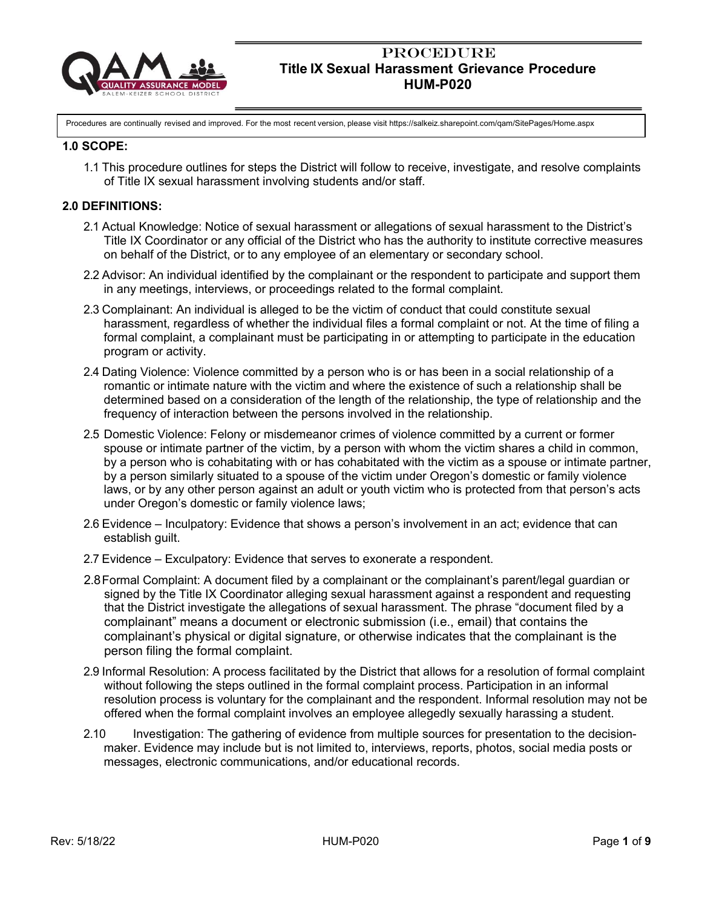

Procedures are continually revised and improved. For the most recent version, please visit https://salkeiz.sharepoint.com/qam/SitePages/Home.aspx

#### **1.0 SCOPE:**

1.1 This procedure outlines for steps the District will follow to receive, investigate, and resolve complaints of Title IX sexual harassment involving students and/or staff.

#### **2.0 DEFINITIONS:**

- 2.1 Actual Knowledge: Notice of sexual harassment or allegations of sexual harassment to the District's Title IX Coordinator or any official of the District who has the authority to institute corrective measures on behalf of the District, or to any employee of an elementary or secondary school.
- 2.2 Advisor: An individual identified by the complainant or the respondent to participate and support them in any meetings, interviews, or proceedings related to the formal complaint.
- 2.3 Complainant: An individual is alleged to be the victim of conduct that could constitute sexual harassment, regardless of whether the individual files a formal complaint or not. At the time of filing a formal complaint, a complainant must be participating in or attempting to participate in the education program or activity.
- 2.4 Dating Violence: Violence committed by a person who is or has been in a social relationship of a romantic or intimate nature with the victim and where the existence of such a relationship shall be determined based on a consideration of the length of the relationship, the type of relationship and the frequency of interaction between the persons involved in the relationship.
- 2.5 Domestic Violence: Felony or misdemeanor crimes of violence committed by a current or former spouse or intimate partner of the victim, by a person with whom the victim shares a child in common, by a person who is cohabitating with or has cohabitated with the victim as a spouse or intimate partner, by a person similarly situated to a spouse of the victim under Oregon's domestic or family violence laws, or by any other person against an adult or youth victim who is protected from that person's acts under Oregon's domestic or family violence laws;
- 2.6 Evidence Inculpatory: Evidence that shows a person's involvement in an act; evidence that can establish guilt.
- 2.7 Evidence Exculpatory: Evidence that serves to exonerate a respondent.
- 2.8Formal Complaint: A document filed by a complainant or the complainant's parent/legal guardian or signed by the Title IX Coordinator alleging sexual harassment against a respondent and requesting that the District investigate the allegations of sexual harassment. The phrase "document filed by a complainant" means a document or electronic submission (i.e., email) that contains the complainant's physical or digital signature, or otherwise indicates that the complainant is the person filing the formal complaint.
- 2.9 Informal Resolution: A process facilitated by the District that allows for a resolution of formal complaint without following the steps outlined in the formal complaint process. Participation in an informal resolution process is voluntary for the complainant and the respondent. Informal resolution may not be offered when the formal complaint involves an employee allegedly sexually harassing a student.
- 2.10 Investigation: The gathering of evidence from multiple sources for presentation to the decisionmaker. Evidence may include but is not limited to, interviews, reports, photos, social media posts or messages, electronic communications, and/or educational records.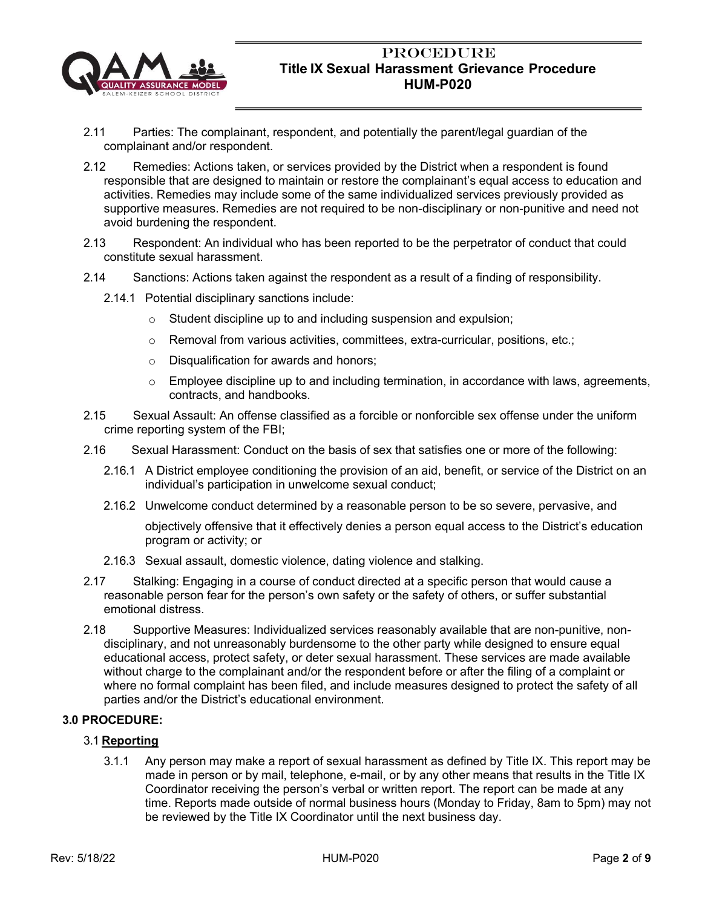

- 2.11 Parties: The complainant, respondent, and potentially the parent/legal guardian of the complainant and/or respondent.
- 2.12 Remedies: Actions taken, or services provided by the District when a respondent is found responsible that are designed to maintain or restore the complainant's equal access to education and activities. Remedies may include some of the same individualized services previously provided as supportive measures. Remedies are not required to be non-disciplinary or non-punitive and need not avoid burdening the respondent.
- 2.13 Respondent: An individual who has been reported to be the perpetrator of conduct that could constitute sexual harassment.
- 2.14 Sanctions: Actions taken against the respondent as a result of a finding of responsibility.
	- 2.14.1 Potential disciplinary sanctions include:
		- $\circ$  Student discipline up to and including suspension and expulsion;
		- o Removal from various activities, committees, extra-curricular, positions, etc.;
		- o Disqualification for awards and honors;
		- $\circ$  Employee discipline up to and including termination, in accordance with laws, agreements, contracts, and handbooks.
- 2.15 Sexual Assault: An offense classified as a forcible or nonforcible sex offense under the uniform crime reporting system of the FBI;
- 2.16 Sexual Harassment: Conduct on the basis of sex that satisfies one or more of the following:
	- 2.16.1 A District employee conditioning the provision of an aid, benefit, or service of the District on an individual's participation in unwelcome sexual conduct;
	- 2.16.2 Unwelcome conduct determined by a reasonable person to be so severe, pervasive, and

objectively offensive that it effectively denies a person equal access to the District's education program or activity; or

- 2.16.3 Sexual assault, domestic violence, dating violence and stalking.
- 2.17 Stalking: Engaging in a course of conduct directed at a specific person that would cause a reasonable person fear for the person's own safety or the safety of others, or suffer substantial emotional distress.
- 2.18 Supportive Measures: Individualized services reasonably available that are non-punitive, nondisciplinary, and not unreasonably burdensome to the other party while designed to ensure equal educational access, protect safety, or deter sexual harassment. These services are made available without charge to the complainant and/or the respondent before or after the filing of a complaint or where no formal complaint has been filed, and include measures designed to protect the safety of all parties and/or the District's educational environment.

## **3.0 PROCEDURE:**

## 3.1 **Reporting**

3.1.1 Any person may make a report of sexual harassment as defined by Title IX. This report may be made in person or by mail, telephone, e-mail, or by any other means that results in the Title IX Coordinator receiving the person's verbal or written report. The report can be made at any time. Reports made outside of normal business hours (Monday to Friday, 8am to 5pm) may not be reviewed by the Title IX Coordinator until the next business day.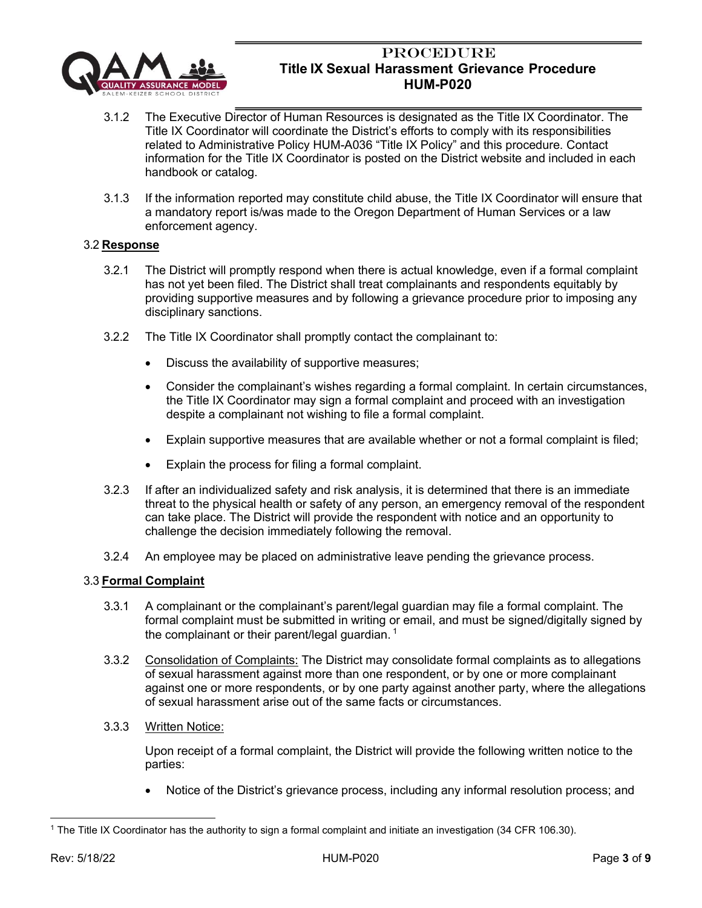

- 3.1.2 The Executive Director of Human Resources is designated as the Title IX Coordinator. The Title IX Coordinator will coordinate the District's efforts to comply with its responsibilities related to Administrative Policy HUM-A036 "Title IX Policy" and this procedure. Contact information for the Title IX Coordinator is posted on the District website and included in each handbook or catalog.
- 3.1.3 If the information reported may constitute child abuse, the Title IX Coordinator will ensure that a mandatory report is/was made to the Oregon Department of Human Services or a law enforcement agency.

### 3.2 **Response**

- 3.2.1 The District will promptly respond when there is actual knowledge, even if a formal complaint has not yet been filed. The District shall treat complainants and respondents equitably by providing supportive measures and by following a grievance procedure prior to imposing any disciplinary sanctions.
- 3.2.2 The Title IX Coordinator shall promptly contact the complainant to:
	- Discuss the availability of supportive measures;
	- Consider the complainant's wishes regarding a formal complaint. In certain circumstances, the Title IX Coordinator may sign a formal complaint and proceed with an investigation despite a complainant not wishing to file a formal complaint.
	- Explain supportive measures that are available whether or not a formal complaint is filed;
	- Explain the process for filing a formal complaint.
- 3.2.3 If after an individualized safety and risk analysis, it is determined that there is an immediate threat to the physical health or safety of any person, an emergency removal of the respondent can take place. The District will provide the respondent with notice and an opportunity to challenge the decision immediately following the removal.
- 3.2.4 An employee may be placed on administrative leave pending the grievance process.

#### 3.3 **Formal Complaint**

- 3.3.1 A complainant or the complainant's parent/legal guardian may file a formal complaint. The formal complaint must be submitted in writing or email, and must be signed/digitally signed by the complainant or their parent/legal guardian.  $1$
- 3.3.2 Consolidation of Complaints: The District may consolidate formal complaints as to allegations of sexual harassment against more than one respondent, or by one or more complainant against one or more respondents, or by one party against another party, where the allegations of sexual harassment arise out of the same facts or circumstances.
- 3.3.3 Written Notice:

Upon receipt of a formal complaint, the District will provide the following written notice to the parties:

• Notice of the District's grievance process, including any informal resolution process; and

<sup>1</sup> The Title IX Coordinator has the authority to sign a formal complaint and initiate an investigation (34 CFR 106.30).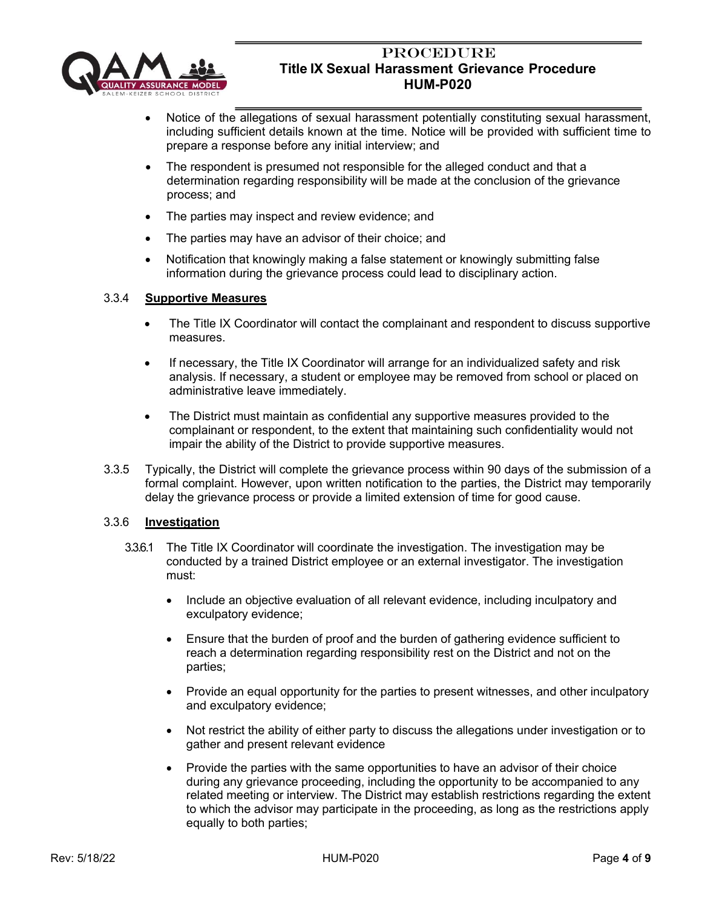

- Notice of the allegations of sexual harassment potentially constituting sexual harassment, including sufficient details known at the time. Notice will be provided with sufficient time to prepare a response before any initial interview; and
- The respondent is presumed not responsible for the alleged conduct and that a determination regarding responsibility will be made at the conclusion of the grievance process; and
- The parties may inspect and review evidence; and
- The parties may have an advisor of their choice; and
- Notification that knowingly making a false statement or knowingly submitting false information during the grievance process could lead to disciplinary action.

#### 3.3.4 **Supportive Measures**

- The Title IX Coordinator will contact the complainant and respondent to discuss supportive measures.
- If necessary, the Title IX Coordinator will arrange for an individualized safety and risk analysis. If necessary, a student or employee may be removed from school or placed on administrative leave immediately.
- The District must maintain as confidential any supportive measures provided to the complainant or respondent, to the extent that maintaining such confidentiality would not impair the ability of the District to provide supportive measures.
- 3.3.5 Typically, the District will complete the grievance process within 90 days of the submission of a formal complaint. However, upon written notification to the parties, the District may temporarily delay the grievance process or provide a limited extension of time for good cause.

#### 3.3.6 **Investigation**

- 3.3.6.1 The Title IX Coordinator will coordinate the investigation. The investigation may be conducted by a trained District employee or an external investigator. The investigation must:
	- Include an objective evaluation of all relevant evidence, including inculpatory and exculpatory evidence;
	- Ensure that the burden of proof and the burden of gathering evidence sufficient to reach a determination regarding responsibility rest on the District and not on the parties;
	- Provide an equal opportunity for the parties to present witnesses, and other inculpatory and exculpatory evidence;
	- Not restrict the ability of either party to discuss the allegations under investigation or to gather and present relevant evidence
	- Provide the parties with the same opportunities to have an advisor of their choice during any grievance proceeding, including the opportunity to be accompanied to any related meeting or interview. The District may establish restrictions regarding the extent to which the advisor may participate in the proceeding, as long as the restrictions apply equally to both parties;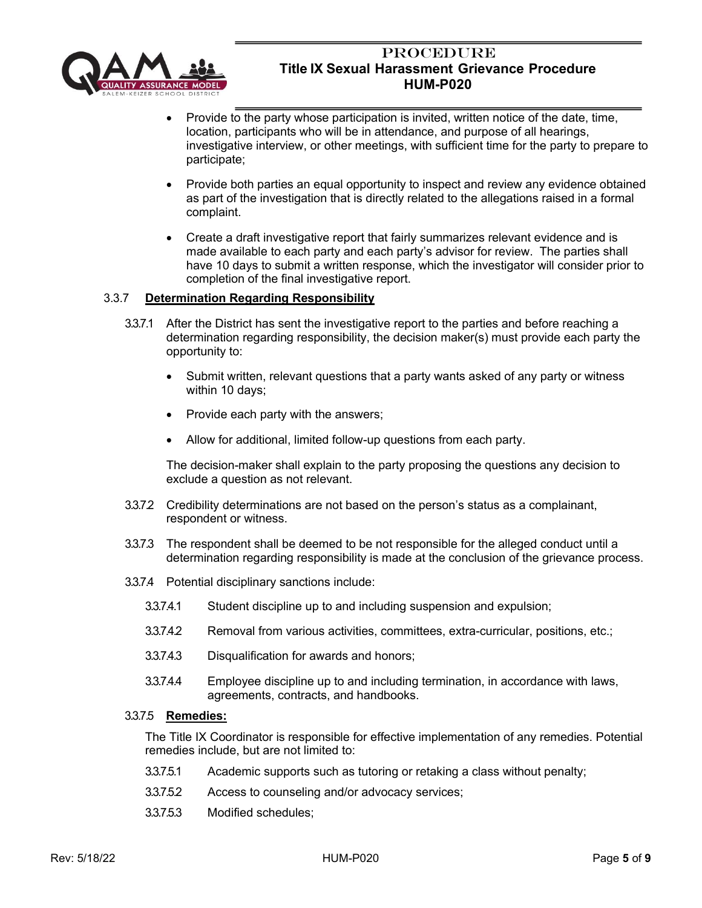

- Provide to the party whose participation is invited, written notice of the date, time, location, participants who will be in attendance, and purpose of all hearings, investigative interview, or other meetings, with sufficient time for the party to prepare to participate;
- Provide both parties an equal opportunity to inspect and review any evidence obtained as part of the investigation that is directly related to the allegations raised in a formal complaint.
- Create a draft investigative report that fairly summarizes relevant evidence and is made available to each party and each party's advisor for review. The parties shall have 10 days to submit a written response, which the investigator will consider prior to completion of the final investigative report.

## 3.3.7 **Determination Regarding Responsibility**

- 3.3.7.1 After the District has sent the investigative report to the parties and before reaching a determination regarding responsibility, the decision maker(s) must provide each party the opportunity to:
	- Submit written, relevant questions that a party wants asked of any party or witness within 10 days;
	- Provide each party with the answers;
	- Allow for additional, limited follow-up questions from each party.

The decision-maker shall explain to the party proposing the questions any decision to exclude a question as not relevant.

- 3.3.7.2 Credibility determinations are not based on the person's status as a complainant, respondent or witness.
- 3.3.7.3 The respondent shall be deemed to be not responsible for the alleged conduct until a determination regarding responsibility is made at the conclusion of the grievance process.
- 3.3.7.4 Potential disciplinary sanctions include:
	- 3.3.7.4.1 Student discipline up to and including suspension and expulsion;
	- 3.3.7.4.2 Removal from various activities, committees, extra-curricular, positions, etc.;
	- 3.3.7.4.3 Disqualification for awards and honors;
	- 3.3.7.4.4 Employee discipline up to and including termination, in accordance with laws, agreements, contracts, and handbooks.

## 3.3.7.5 **Remedies:**

The Title IX Coordinator is responsible for effective implementation of any remedies. Potential remedies include, but are not limited to:

- 3.3.7.5.1 Academic supports such as tutoring or retaking a class without penalty;
- 3.3.7.5.2 Access to counseling and/or advocacy services;
- 3.3.7.5.3 Modified schedules;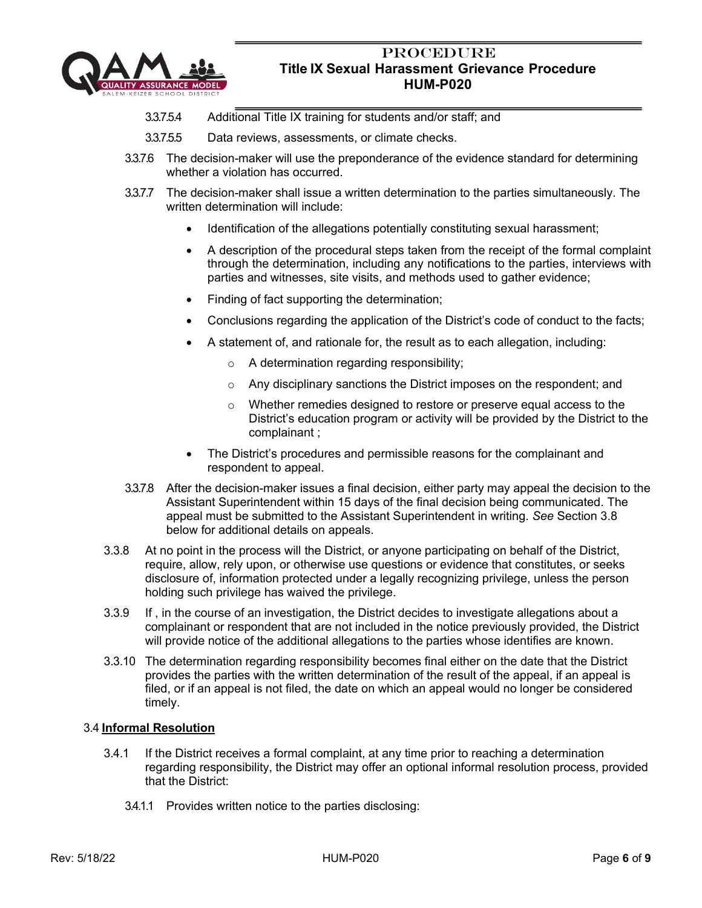

- 3.3.7.5.4 Additional Title IX training for students and/or staff; and
- 3.3.7.5.5 Data reviews, assessments, or climate checks.
- 3.3.7.6 The decision-maker will use the preponderance of the evidence standard for determining whether a violation has occurred.
- 3.3.7.7 The decision-maker shall issue a written determination to the parties simultaneously. The written determination will include:
	- Identification of the allegations potentially constituting sexual harassment;
	- A description of the procedural steps taken from the receipt of the formal complaint through the determination, including any notifications to the parties, interviews with parties and witnesses, site visits, and methods used to gather evidence;
	- Finding of fact supporting the determination;
	- Conclusions regarding the application of the District's code of conduct to the facts;
	- A statement of, and rationale for, the result as to each allegation, including:
		- o A determination regarding responsibility;
		- o Any disciplinary sanctions the District imposes on the respondent; and
		- o Whether remedies designed to restore or preserve equal access to the District's education program or activity will be provided by the District to the complainant ;
	- The District's procedures and permissible reasons for the complainant and respondent to appeal.
- 3.3.7.8 After the decision-maker issues a final decision, either party may appeal the decision to the Assistant Superintendent within 15 days of the final decision being communicated. The appeal must be submitted to the Assistant Superintendent in writing. *See* Section 3.8 below for additional details on appeals.
- 3.3.8 At no point in the process will the District, or anyone participating on behalf of the District, require, allow, rely upon, or otherwise use questions or evidence that constitutes, or seeks disclosure of, information protected under a legally recognizing privilege, unless the person holding such privilege has waived the privilege.
- 3.3.9 If , in the course of an investigation, the District decides to investigate allegations about a complainant or respondent that are not included in the notice previously provided, the District will provide notice of the additional allegations to the parties whose identifies are known.
- 3.3.10 The determination regarding responsibility becomes final either on the date that the District provides the parties with the written determination of the result of the appeal, if an appeal is filed, or if an appeal is not filed, the date on which an appeal would no longer be considered timely.

## 3.4 **Informal Resolution**

- 3.4.1 If the District receives a formal complaint, at any time prior to reaching a determination regarding responsibility, the District may offer an optional informal resolution process, provided that the District:
	- 3.4.1.1 Provides written notice to the parties disclosing: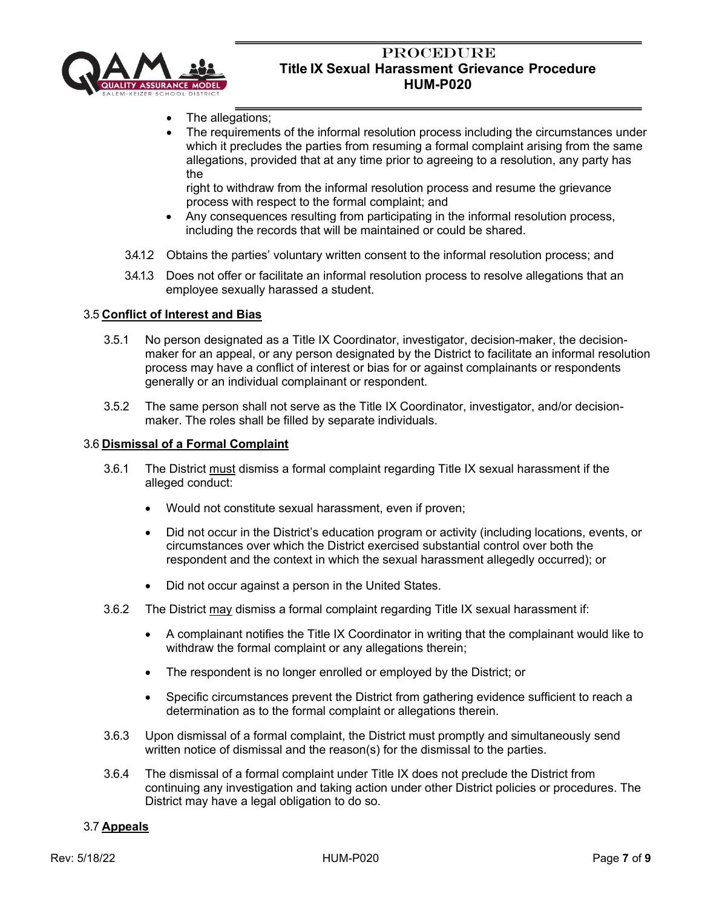

- The allegations;
- The requirements of the informal resolution process including the circumstances under which it precludes the parties from resuming a formal complaint arising from the same allegations, provided that at any time prior to agreeing to a resolution, any party has the

right to withdraw from the informal resolution process and resume the grievance process with respect to the formal complaint; and

- Any consequences resulting from participating in the informal resolution process, including the records that will be maintained or could be shared.
- 3.4.1.2 Obtains the parties' voluntary written consent to the informal resolution process; and
- 3.4.1.3 Does not offer or facilitate an informal resolution process to resolve allegations that an employee sexually harassed a student.

### 3.5 **Conflict of Interest and Bias**

- 3.5.1 No person designated as a Title IX Coordinator, investigator, decision-maker, the decisionmaker for an appeal, or any person designated by the District to facilitate an informal resolution process may have a conflict of interest or bias for or against complainants or respondents generally or an individual complainant or respondent.
- 3.5.2 The same person shall not serve as the Title IX Coordinator, investigator, and/or decisionmaker. The roles shall be filled by separate individuals.

#### 3.6 **Dismissal of a Formal Complaint**

- 3.6.1 The District must dismiss a formal complaint regarding Title IX sexual harassment if the alleged conduct:
	- Would not constitute sexual harassment, even if proven;
	- Did not occur in the District's education program or activity (including locations, events, or circumstances over which the District exercised substantial control over both the respondent and the context in which the sexual harassment allegedly occurred); or
	- Did not occur against a person in the United States.
- 3.6.2 The District may dismiss a formal complaint regarding Title IX sexual harassment if:
	- A complainant notifies the Title IX Coordinator in writing that the complainant would like to withdraw the formal complaint or any allegations therein;
	- The respondent is no longer enrolled or employed by the District; or
	- Specific circumstances prevent the District from gathering evidence sufficient to reach a determination as to the formal complaint or allegations therein.
- 3.6.3 Upon dismissal of a formal complaint, the District must promptly and simultaneously send written notice of dismissal and the reason(s) for the dismissal to the parties.
- 3.6.4 The dismissal of a formal complaint under Title IX does not preclude the District from continuing any investigation and taking action under other District policies or procedures. The District may have a legal obligation to do so.

#### 3.7 **Appeals**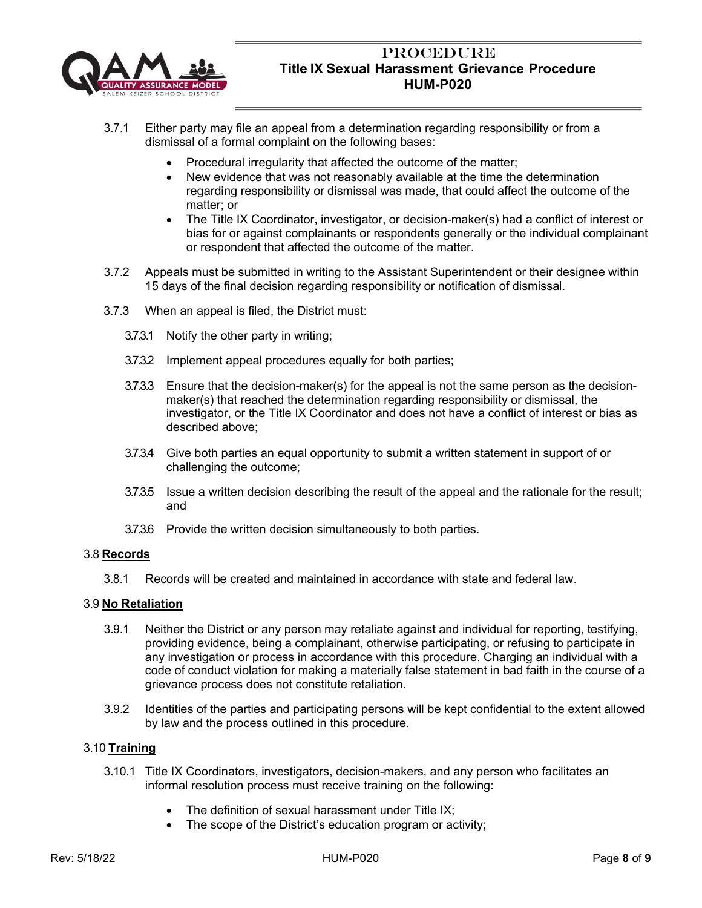

- 3.7.1 Either party may file an appeal from a determination regarding responsibility or from a dismissal of a formal complaint on the following bases:
	- Procedural irregularity that affected the outcome of the matter;
	- New evidence that was not reasonably available at the time the determination regarding responsibility or dismissal was made, that could affect the outcome of the matter; or
	- The Title IX Coordinator, investigator, or decision-maker(s) had a conflict of interest or bias for or against complainants or respondents generally or the individual complainant or respondent that affected the outcome of the matter.
- 3.7.2 Appeals must be submitted in writing to the Assistant Superintendent or their designee within 15 days of the final decision regarding responsibility or notification of dismissal.
- 3.7.3 When an appeal is filed, the District must:
	- 3.7.3.1 Notify the other party in writing;
	- 3.7.3.2 Implement appeal procedures equally for both parties;
	- 3.7.3.3 Ensure that the decision-maker(s) for the appeal is not the same person as the decisionmaker(s) that reached the determination regarding responsibility or dismissal, the investigator, or the Title IX Coordinator and does not have a conflict of interest or bias as described above;
	- 3.7.3.4 Give both parties an equal opportunity to submit a written statement in support of or challenging the outcome;
	- 3.7.3.5 Issue a written decision describing the result of the appeal and the rationale for the result; and
	- 3.7.3.6 Provide the written decision simultaneously to both parties.

## 3.8 **Records**

3.8.1 Records will be created and maintained in accordance with state and federal law.

## 3.9 **No Retaliation**

- 3.9.1 Neither the District or any person may retaliate against and individual for reporting, testifying, providing evidence, being a complainant, otherwise participating, or refusing to participate in any investigation or process in accordance with this procedure. Charging an individual with a code of conduct violation for making a materially false statement in bad faith in the course of a grievance process does not constitute retaliation.
- 3.9.2 Identities of the parties and participating persons will be kept confidential to the extent allowed by law and the process outlined in this procedure.

## 3.10 **Training**

- 3.10.1 Title IX Coordinators, investigators, decision-makers, and any person who facilitates an informal resolution process must receive training on the following:
	- The definition of sexual harassment under Title IX;
	- The scope of the District's education program or activity;